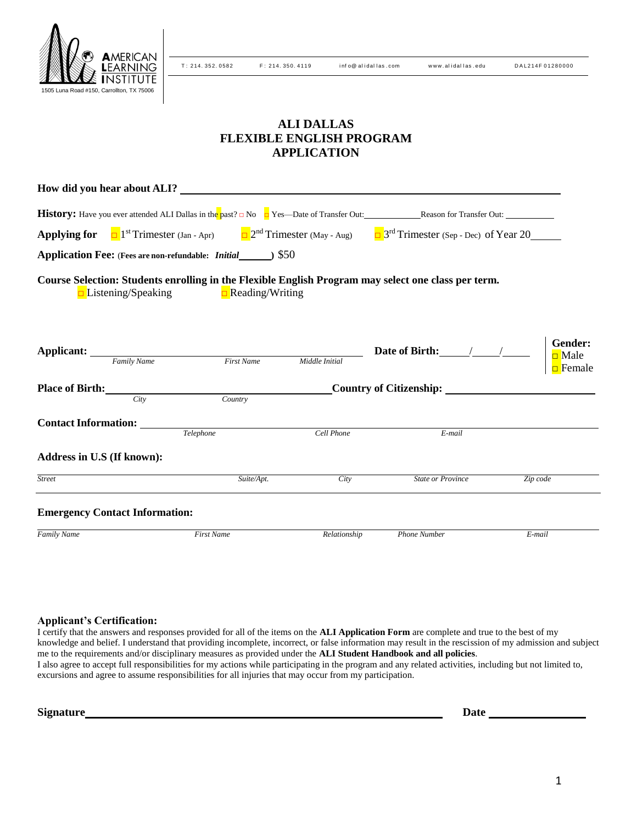

T: 214. 352. 0582 F: 214. 350. 4119 inf o@ alidal las.com www.alidal las.edu DAL 214F 01280000

# **ALI DALLAS FLEXIBLE ENGLISH PROGRAM APPLICATION**

| <b>Applying for</b> $\Box$ 1 <sup>st</sup> Trimester (Jan - Apr) $\Box$ 2 <sup>nd</sup> Trimester (May - Aug) $\Box$ 3 <sup>rd</sup> Trimester (Sep - Dec) of Year 20 |                   |                |                          |                                           |
|-----------------------------------------------------------------------------------------------------------------------------------------------------------------------|-------------------|----------------|--------------------------|-------------------------------------------|
| Application Fee: (Fees are non-refundable: Initial_____) \$50                                                                                                         |                   |                |                          |                                           |
| Course Selection: Students enrolling in the Flexible English Program may select one class per term.<br>$\Box$ Listening/Speaking $\Box$ Reading/Writing               |                   |                |                          |                                           |
| <b>Applicant:</b> Family Name First Name                                                                                                                              |                   | Middle Initial |                          | Gender:<br><b>□</b> Male<br>$\Box$ Female |
|                                                                                                                                                                       |                   |                |                          |                                           |
| Citv                                                                                                                                                                  | Country           |                |                          |                                           |
|                                                                                                                                                                       | Telephone         | Cell Phone     | E-mail                   |                                           |
| Address in U.S (If known):                                                                                                                                            |                   |                |                          |                                           |
| <b>Street</b>                                                                                                                                                         | Suite/Apt.        | City           | <b>State or Province</b> | Zip code                                  |
| <b>Emergency Contact Information:</b>                                                                                                                                 |                   |                |                          |                                           |
| Family Name                                                                                                                                                           | <b>First Name</b> | Relationship   | Phone Number             | E-mail                                    |

#### **Applicant's Certification:**

I certify that the answers and responses provided for all of the items on the **ALI Application Form** are complete and true to the best of my knowledge and belief. I understand that providing incomplete, incorrect, or false information may result in the rescission of my admission and subject me to the requirements and/or disciplinary measures as provided under the **ALI Student Handbook and all policies**. I also agree to accept full responsibilities for my actions while participating in the program and any related activities, including but not limited to, excursions and agree to assume responsibilities for all injuries that may occur from my participation.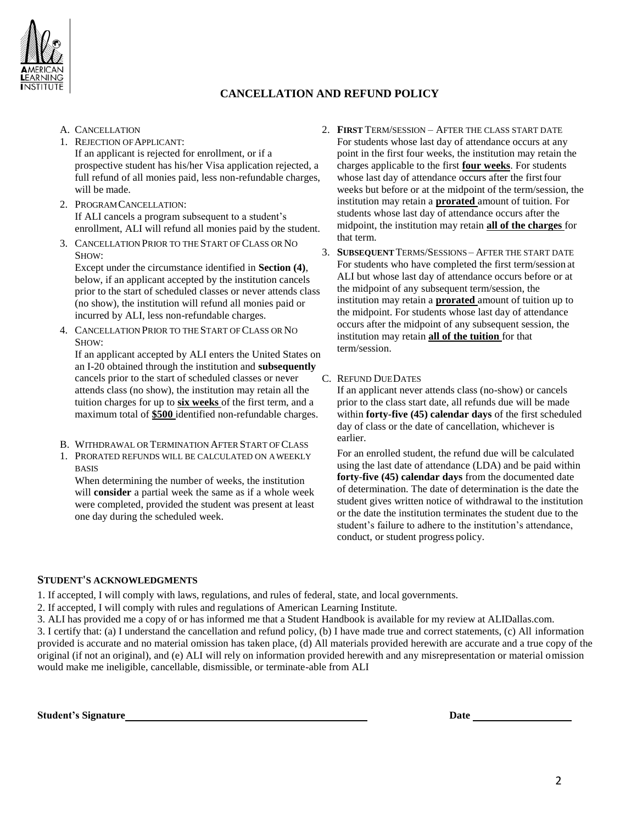

### **CANCELLATION AND REFUND POLICY**

- A. CANCELLATION
- 1. REJECTION OFAPPLICANT: If an applicant is rejected for enrollment, or if a prospective student has his/her Visa application rejected, a full refund of all monies paid, less non-refundable charges, will be made.
- 2. PROGRAMCANCELLATION: If ALI cancels a program subsequent to a student's enrollment, ALI will refund all monies paid by the student.
- 3. CANCELLATION PRIOR TO THE START OFCLASS OR NO SHOW:

Except under the circumstance identified in **Section (4)**, below, if an applicant accepted by the institution cancels prior to the start of scheduled classes or never attends class (no show), the institution will refund all monies paid or incurred by ALI, less non-refundable charges.

4. CANCELLATION PRIOR TO THE START OF CLASS OR NO SHOW:

If an applicant accepted by ALI enters the United States on an I-20 obtained through the institution and **subsequently**  cancels prior to the start of scheduled classes or never attends class (no show), the institution may retain all the tuition charges for up to **six weeks** of the first term, and a maximum total of **\$500** identified non-refundable charges.

- B. WITHDRAWAL OR TERMINATION AFTER START OF CLASS
- 1. PRORATED REFUNDS WILL BE CALCULATED ON AWEEKLY BASIS

When determining the number of weeks, the institution will **consider** a partial week the same as if a whole week were completed, provided the student was present at least one day during the scheduled week.

- 2. **FIRST** TERM/SESSION AFTER THE CLASS START DATE For students whose last day of attendance occurs at any point in the first four weeks, the institution may retain the charges applicable to the first **four weeks**. For students whose last day of attendance occurs after the first four weeks but before or at the midpoint of the term/session, the institution may retain a **prorated** amount of tuition. For students whose last day of attendance occurs after the midpoint, the institution may retain **all of the charges** for that term.
- 3. **SUBSEQUENT** TERMS/SESSIONS AFTER THE START DATE For students who have completed the first term/session at ALI but whose last day of attendance occurs before or at the midpoint of any subsequent term/session, the institution may retain a **prorated** amount of tuition up to the midpoint. For students whose last day of attendance occurs after the midpoint of any subsequent session, the institution may retain **all of the tuition** for that term/session.
- C. REFUND DUEDATES

If an applicant never attends class (no-show) or cancels prior to the class start date, all refunds due will be made within **forty-five (45) calendar days** of the first scheduled day of class or the date of cancellation, whichever is earlier.

For an enrolled student, the refund due will be calculated using the last date of attendance (LDA) and be paid within **forty-five (45) calendar days** from the documented date of determination. The date of determination is the date the student gives written notice of withdrawal to the institution or the date the institution terminates the student due to the student's failure to adhere to the institution's attendance, conduct, or student progress policy.

#### **STUDENT'S ACKNOWLEDGMENTS**

1. If accepted, I will comply with laws, regulations, and rules of federal, state, and local governments.

- 2. If accepted, I will comply with rules and regulations of American Learning Institute.
- 3. ALI has provided me a copy of or has informed me that a Student Handbook is available for my review at ALIDallas.com.

3. I certify that: (a) I understand the cancellation and refund policy, (b) I have made true and correct statements, (c) All information provided is accurate and no material omission has taken place, (d) All materials provided herewith are accurate and a true copy of the original (if not an original), and (e) ALI will rely on information provided herewith and any misrepresentation or material omission would make me ineligible, cancellable, dismissible, or terminate-able from ALI

**Student's Signature Date**